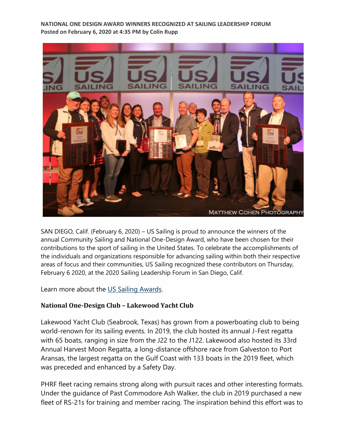**NATIONAL ONE DESIGN AWARD WINNERS RECOGNIZED AT SAILING LEADERSHIP FORUM Posted on February 6, 2020 at 4:35 PM by Colin Rupp**



SAN DIEGO, Calif. (February 6, 2020) – US Sailing is proud to announce the winners of the annual Community Sailing and National One-Design Award, who have been chosen for their contributions to the sport of sailing in the United States. To celebrate the accomplishments of the individuals and organizations responsible for advancing sailing within both their respective areas of focus and their communities, US Sailing recognized these contributors on Thursday, February 6 2020, at the 2020 Sailing Leadership Forum in San Diego, Calif.

Learn more about the [US Sailing Awards.](https://www.ussailing.org/about/awards/)

## **National One-Design Club – Lakewood Yacht Club**

Lakewood Yacht Club (Seabrook, Texas) has grown from a powerboating club to being world-renown for its sailing events. In 2019, the club hosted its annual J-Fest regatta with 65 boats, ranging in size from the J22 to the J122. Lakewood also hosted its 33rd Annual Harvest Moon Regatta, a long-distance offshore race from Galveston to Port Aransas, the largest regatta on the Gulf Coast with 133 boats in the 2019 fleet, which was preceded and enhanced by a Safety Day.

PHRF fleet racing remains strong along with pursuit races and other interesting formats. Under the guidance of Past Commodore Ash Walker, the club in 2019 purchased a new fleet of RS-21s for training and member racing. The inspiration behind this effort was to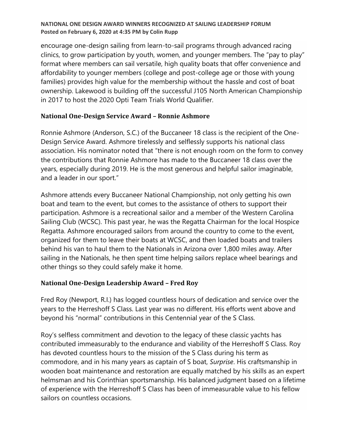### **NATIONAL ONE DESIGN AWARD WINNERS RECOGNIZED AT SAILING LEADERSHIP FORUM Posted on February 6, 2020 at 4:35 PM by Colin Rupp**

encourage one-design sailing from learn-to-sail programs through advanced racing clinics, to grow participation by youth, women, and younger members. The "pay to play" format where members can sail versatile, high quality boats that offer convenience and affordability to younger members (college and post-college age or those with young families) provides high value for the membership without the hassle and cost of boat ownership. Lakewood is building off the successful J105 North American Championship in 2017 to host the 2020 Opti Team Trials World Qualifier.

# **National One-Design Service Award – Ronnie Ashmore**

Ronnie Ashmore (Anderson, S.C.) of the Buccaneer 18 class is the recipient of the One-Design Service Award. Ashmore tirelessly and selflessly supports his national class association. His nominator noted that "there is not enough room on the form to convey the contributions that Ronnie Ashmore has made to the Buccaneer 18 class over the years, especially during 2019. He is the most generous and helpful sailor imaginable, and a leader in our sport."

Ashmore attends every Buccaneer National Championship, not only getting his own boat and team to the event, but comes to the assistance of others to support their participation. Ashmore is a recreational sailor and a member of the Western Carolina Sailing Club (WCSC). This past year, he was the Regatta Chairman for the local Hospice Regatta. Ashmore encouraged sailors from around the country to come to the event, organized for them to leave their boats at WCSC, and then loaded boats and trailers behind his van to haul them to the Nationals in Arizona over 1,800 miles away. After sailing in the Nationals, he then spent time helping sailors replace wheel bearings and other things so they could safely make it home.

# **National One-Design Leadership Award – Fred Roy**

Fred Roy (Newport, R.I.) has logged countless hours of dedication and service over the years to the Herreshoff S Class. Last year was no different. His efforts went above and beyond his "normal" contributions in this Centennial year of the S Class.

Roy's selfless commitment and devotion to the legacy of these classic yachts has contributed immeasurably to the endurance and viability of the Herreshoff S Class. Roy has devoted countless hours to the mission of the S Class during his term as commodore, and in his many years as captain of S boat, *Surprise*. His craftsmanship in wooden boat maintenance and restoration are equally matched by his skills as an expert helmsman and his Corinthian sportsmanship. His balanced judgment based on a lifetime of experience with the Herreshoff S Class has been of immeasurable value to his fellow sailors on countless occasions.